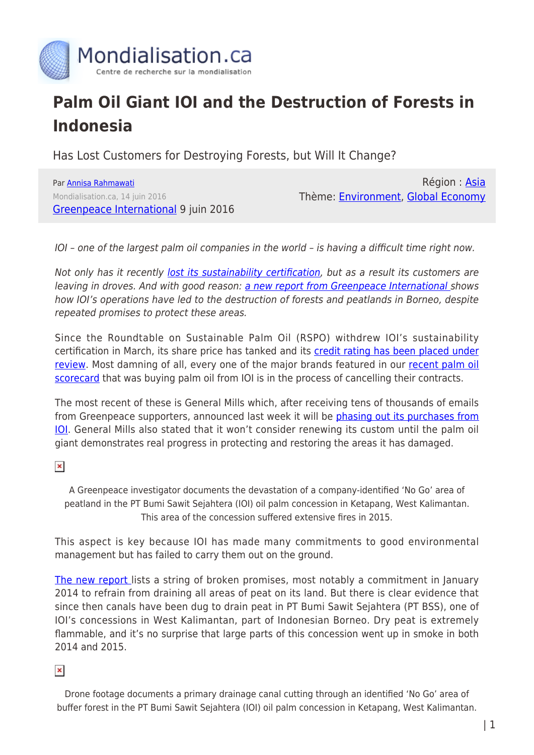

## **Palm Oil Giant IOI and the Destruction of Forests in Indonesia**

Has Lost Customers for Destroying Forests, but Will It Change?

Par [Annisa Rahmawati](https://www.mondialisation.ca/author/annisa-rahmawati) Mondialisation.ca, 14 juin 2016 [Greenpeace International](http://www.greenpeace.org/international/en/news/Blogs/makingwaves/palm-oil-giant-ioi-has-lost-customers-for-des/blog/56700/) 9 juin 2016

Région : [Asia](https://www.mondialisation.ca/region/asia) Thème: [Environment](https://www.mondialisation.ca/theme/environment), [Global Economy](https://www.mondialisation.ca/theme/global-economy)

IOI – one of the largest palm oil companies in the world – is having a difficult time right now.

Not only has it recently [lost its sustainability certification](http://www.greenpeace.org/international/en/news/Blogs/makingwaves/indonesia-palm-oil-companies-banned-customers/blog/56280/), but as a result its customers are leaving in droves. And with good reason: [a new report from Greenpeace International](http://www.greenpeace.org/BurningIssue) shows how IOI's operations have led to the destruction of forests and peatlands in Borneo, despite repeated promises to protect these areas.

Since the Roundtable on Sustainable Palm Oil (RSPO) withdrew IOI's sustainability certification in March, its share price has tanked and its [credit rating has been placed under](https://www.moodys.com/research/Moodys-reviews-IOI-Corporation-Berhads-Baa2-ratings-for-downgrade--PR_348708) [review.](https://www.moodys.com/research/Moodys-reviews-IOI-Corporation-Berhads-Baa2-ratings-for-downgrade--PR_348708) Most damning of all, every one of the major brands featured in our [recent palm oil](http://www.greenpeace.org/international/en/news/Blogs/makingwaves/palm-oil-whos-still-trashing-forests/blog/55724/) [scorecard](http://www.greenpeace.org/international/en/news/Blogs/makingwaves/palm-oil-whos-still-trashing-forests/blog/55724/) that was buying palm oil from IOI is in the process of cancelling their contracts.

The most recent of these is General Mills which, after receiving tens of thousands of emails from Greenpeace supporters, announced last week it will be [phasing out its purchases from](http://www.generalmills.com/en/News/NewsReleases/Library/2016/June/palm-oil-statement63/278f1194-f8f7-448a-bcf9-bbb09cfae997) [IOI.](http://www.generalmills.com/en/News/NewsReleases/Library/2016/June/palm-oil-statement63/278f1194-f8f7-448a-bcf9-bbb09cfae997) General Mills also stated that it won't consider renewing its custom until the palm oil giant demonstrates real progress in protecting and restoring the areas it has damaged.

 $\pmb{\times}$ 

A Greenpeace investigator documents the devastation of a company-identified 'No Go' area of peatland in the PT Bumi Sawit Sejahtera (IOI) oil palm concession in Ketapang, West Kalimantan. This area of the concession suffered extensive fires in 2015.

This aspect is key because IOI has made many commitments to good environmental management but has failed to carry them out on the ground.

[The new report l](http://www.greenpeace.org/BurningIssue)ists a string of broken promises, most notably a commitment in January 2014 to refrain from draining all areas of peat on its land. But there is clear evidence that since then canals have been dug to drain peat in PT Bumi Sawit Sejahtera (PT BSS), one of IOI's concessions in West Kalimantan, part of Indonesian Borneo. Dry peat is extremely flammable, and it's no surprise that large parts of this concession went up in smoke in both 2014 and 2015.

 $\pmb{\times}$ 

Drone footage documents a primary drainage canal cutting through an identified 'No Go' area of buffer forest in the PT Bumi Sawit Sejahtera (IOI) oil palm concession in Ketapang, West Kalimantan.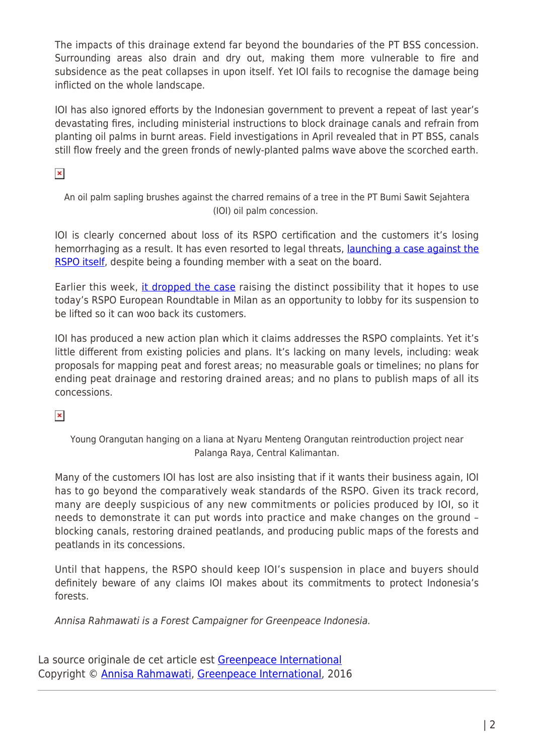The impacts of this drainage extend far beyond the boundaries of the PT BSS concession. Surrounding areas also drain and dry out, making them more vulnerable to fire and subsidence as the peat collapses in upon itself. Yet IOI fails to recognise the damage being inflicted on the whole landscape.

IOI has also ignored efforts by the Indonesian government to prevent a repeat of last year's devastating fires, including ministerial instructions to block drainage canals and refrain from planting oil palms in burnt areas. Field investigations in April revealed that in PT BSS, canals still flow freely and the green fronds of newly-planted palms wave above the scorched earth.

 $\pmb{\times}$ 

An oil palm sapling brushes against the charred remains of a tree in the PT Bumi Sawit Sejahtera (IOI) oil palm concession.

IOI is clearly concerned about loss of its RSPO certification and the customers it's losing hemorrhaging as a result. It has even resorted to legal threats, *launching a case against the* [RSPO itself,](http://www.theguardian.com/environment/2016/may/09/top-palm-oil-producer-sues-green-group-over-deforestation-allegations) despite being a founding member with a seat on the board.

Earlier this week, [it dropped the case](http://www.theguardian.com/sustainable-business/2016/jun/07/palm-oil-ioi-rspo-unilever-nestle-kelloggs-mars-deforestation-indonesia) raising the distinct possibility that it hopes to use today's RSPO European Roundtable in Milan as an opportunity to lobby for its suspension to be lifted so it can woo back its customers.

IOI has produced a new action plan which it claims addresses the RSPO complaints. Yet it's little different from existing policies and plans. It's lacking on many levels, including: weak proposals for mapping peat and forest areas; no measurable goals or timelines; no plans for ending peat drainage and restoring drained areas; and no plans to publish maps of all its concessions.

 $\pmb{\times}$ 

Young Orangutan hanging on a liana at Nyaru Menteng Orangutan reintroduction project near Palanga Raya, Central Kalimantan.

Many of the customers IOI has lost are also insisting that if it wants their business again, IOI has to go beyond the comparatively weak standards of the RSPO. Given its track record, many are deeply suspicious of any new commitments or policies produced by IOI, so it needs to demonstrate it can put words into practice and make changes on the ground – blocking canals, restoring drained peatlands, and producing public maps of the forests and peatlands in its concessions.

Until that happens, the RSPO should keep IOI's suspension in place and buyers should definitely beware of any claims IOI makes about its commitments to protect Indonesia's forests.

Annisa Rahmawati is a Forest Campaigner for Greenpeace Indonesia.

La source originale de cet article est [Greenpeace International](http://www.greenpeace.org/international/en/news/Blogs/makingwaves/palm-oil-giant-ioi-has-lost-customers-for-des/blog/56700/) Copyright © [Annisa Rahmawati](https://www.mondialisation.ca/author/annisa-rahmawati), [Greenpeace International](http://www.greenpeace.org/international/en/news/Blogs/makingwaves/palm-oil-giant-ioi-has-lost-customers-for-des/blog/56700/), 2016